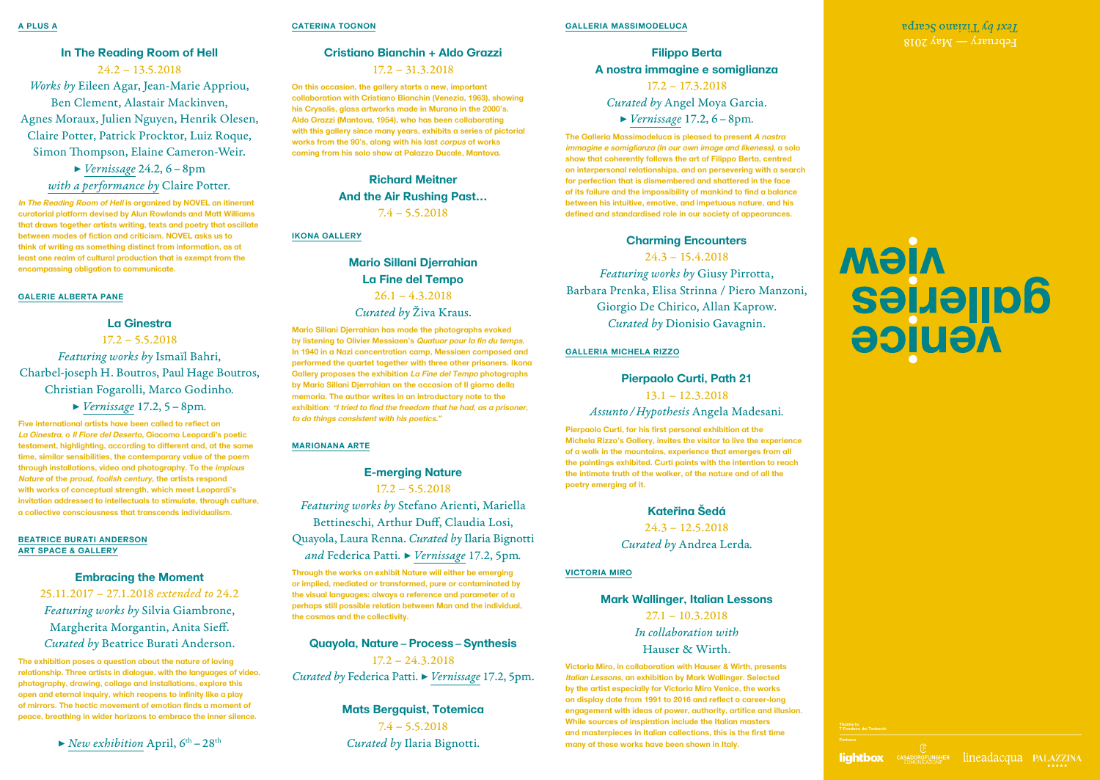### **Cristiano Bianchin + Aldo Grazzi**

### 17.2 – 31.3.2018

**On this occasion, the gallery starts a new, important collaboration with Cristiano Bianchin (Venezia, 1963), showing his Crysalis, glass artworks made in Murano in the 2000's. Aldo Grazzi (Mantova, 1954), who has been collaborating with this gallery since many years, exhibits a series of pictorial works from the 90's, along with his last corpus of works coming from his solo show at Palazzo Ducale, Mantova.** 

> **Richard Meitner And the Air Rushing Past…** 7.4 – 5.5.2018

### **IKONA GALLERY**

### **Mario Sillani Djerrahian La Fine del Tempo**  $26.1 - 4.3.2018$ *Curated by* Živa Kraus.

**Mario Sillani Djerrahian has made the photographs evoked by listening to Olivier Messiaen's Quatuor pour la fin du temps. In 1940 in a Nazi concentration camp, Messiaen composed and performed the quartet together with three other prisoners. Ikona Gallery proposes the exhibition La Fine del Tempo photographs by Mario Sillani Djerrahian on the occasion of Il giorno della memoria. The author writes in an introductory note to the exhibition: "I tried to find the freedom that he had, as a prisoner, to do things consistent with his poetics."**

### **MARIGNANA ARTE**

# **E-merging Nature** 17.2 – 5.5.2018 *Featuring works by* Stefano Arienti, Mariella Bettineschi, Arthur Duff, Claudia Losi, Quayola, Laura Renna. *Curated by* Ilaria Bignotti *and* Federica Patti. *▶ Vernissage* 17.2, 5pm*.*

**Through the works on exhibit Nature will either be emerging or implied, mediated or transformed, pure or contaminated by the visual languages: always a reference and parameter of a perhaps still possible relation between Man and the individual, the cosmos and the collectivity.**

**Quayola, Nature** – **Process** – **Synthesis** 17.2 – 24.3.2018 *Curated by* Federica Patti. *▶ Vernissage* 17.2, 5pm.

### **Mats Bergquist, Totemica** 7.4 – 5.5.2018 *Curated by* Ilaria Bignotti.

### **In The Reading Room of Hell**

 $24.2 - 13.5.2018$ *Works by* Eileen Agar, Jean-Marie Appriou, Ben Clement, Alastair Mackinven, Agnes Moraux, Julien Nguyen, Henrik Olesen, Claire Potter, Patrick Procktor, Luiz Roque, Simon Thompson, Elaine Cameron-Weir.

*▶ Vernissage* 24.2, 6 – 8pm *with a performance by* Claire Potter*.*

**In The Reading Room of Hell is organized by NOVEL an itinerant curatorial platform devised by Alun Rowlands and Matt Williams that draws together artists writing, texts and poetry that oscillate between modes of fiction and criticism. NOVEL asks us to think of writing as something distinct from information, as at least one realm of cultural production that is exempt from the encompassing obligation to communicate.**

### **GALERIE ALBERTA PANE**

### **La Ginestra**

17.2 – 5.5.2018 *Featuring works by* Ismaïl Bahri, Charbel-joseph H. Boutros, Paul Hage Boutros, Christian Fogarolli, Marco Godinho*. ▶ Vernissage* 17.2, 5 – 8pm*.*

> ▶ *New exhibition* April, 6<sup>th</sup> – 28<sup>th</sup> *Curated by Ilaria Bignotti.* **many of these works have been shown in Italy.** Partners **Victoria Miro, in collaboration with Hauser & Wirth, presents Italian Lessons, an exhibition by Mark Wallinger. Selected by the artist especially for Victoria Miro Venice, the works on display date from 1991 to 2016 and reflect a career-long engagement with ideas of power, authority, artifice and illusion. While sources of inspiration include the Italian masters and masterpieces in Italian collections, this is the first time many of these works have been shown in Italy.**

 $F$ eptuary — May 2018 CATERINA TOGNON CALLERIA MASSIMODELUCA **CALLERIA MASSIMODELUCA** 

# **MIGM Seijeries AGUICG**

**Five international artists have been called to reflect on La Ginestra, o Il Fiore del Deserto, Giacomo Leopardi's poetic testament, highlighting, according to different and, at the same time, similar sensibilities, the contemporary value of the poem through installations, video and photography. To the impious Nature of the proud, foolish century, the artists respond with works of conceptual strength, which meet Leopardi's invitation addressed to intellectuals to stimulate, through culture, a collective consciousness that transcends individualism.**

### **BEATRICE BURATI ANDERSON ART SPACE & GALLERY**

### **Embracing the Moment**

25.11.2017 – 27.1.2018 *extended to* 24.2 *Featuring works by* Silvia Giambrone, Margherita Morgantin, Anita Sieff. *Curated by* Beatrice Burati Anderson.

**The exhibition poses a question about the nature of loving relationship. Three artists in dialogue, with the languages of video, photography, drawing, collage and installations, explore this open and eternal inquiry, which reopens to infinity like a play of mirrors. The hectic movement of emotion finds a moment of peace, breathing in wider horizons to embrace the inner silence.**

**Thanks to T Fondaco dei Tedeschi**





lightbox CASADOROFUNGHER lineadacqua PALAZZINA



### **GALLERIA MASSIMODELUCA**

## **Filippo Berta A nostra immagine e somiglianza** 17.2 – 17.3.2018

*Curated by* Angel Moya Garcia.

*▶ Vernissage* 17.2, 6 – 8pm*.*

**The Galleria Massimodeluca is pleased to present A nostra immagine e somiglianza (In our own image and likeness), a solo show that coherently follows the art of Filippo Berta, centred on interpersonal relationships, and on persevering with a search for perfection that is dismembered and shattered in the face of its failure and the impossibility of mankind to find a balance between his intuitive, emotive, and impetuous nature, and his defined and standardised role in our society of appearances.**

### **Charming Encounters**

24.3 – 15.4.2018

*Featuring works by* Giusy Pirrotta, Barbara Prenka, Elisa Strinna / Piero Manzoni, Giorgio De Chirico, Allan Kaprow. *Curated by* Dionisio Gavagnin.

### **GALLERIA MICHELA RIZZO**

### **Pierpaolo Curti, Path 21**

13.1 – 12.3.2018

### *Assunto / Hypothesis* Angela Madesani*.*

**Pierpaolo Curti, for his first personal exhibition at the Michela Rizzo's Gallery, invites the visitor to live the experience of a walk in the mountains, experience that emerges from all the paintings exhibited. Curti paints with the intention to reach the intimate truth of the walker, of the nature and of all the poetry emerging of it.**

> **Katerina Šedá** 24.3 – 12.5.2018 *Curated by* Andrea Lerda*.*

### **VICTORIA MIRO**

### **Mark Wallinger, Italian Lessons**

27.1 – 10.3.2018 *In collaboration with*  Hauser & Wirth.